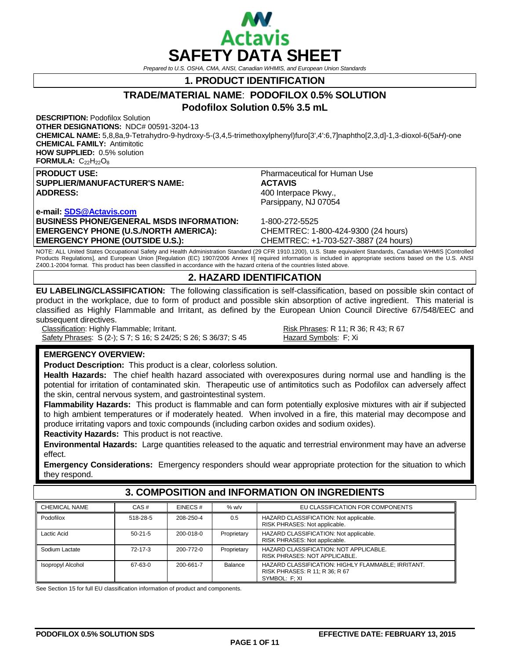

*Prepared to U.S. OSHA, CMA, ANSI, Canadian WHMIS, and European Union Standards*

**1. PRODUCT IDENTIFICATION**

# **TRADE/MATERIAL NAME**: **PODOFILOX 0.5% SOLUTION**

**Podofilox Solution 0.5% 3.5 mL**

**DESCRIPTION:** Podofilox Solution **OTHER DESIGNATIONS:** NDC# 00591-3204-13

**CHEMICAL NAME:** 5,8,8a,9-Tetrahydro-9-hydroxy-5-(3,4,5-trimethoxylphenyl)furo[3',4':6,7]naphtho[2,3,d]-1,3-dioxol-6(5a*H*)-one **CHEMICAL FAMILY:** Antimitotic **HOW SUPPLIED:** 0.5% solution

FORMULA: C<sub>22</sub>H<sub>22</sub>O<sub>8</sub>

**PRODUCT USE:**<br> **SUPPLIER/MANUFACTURER'S NAME:**<br> **Pharmaceutical for Human Use**<br> **ACTAVIS SUPPLIER/MANUFACTURER'S NAME:**<br>ADDRESS:

**e-mail: [SDS@Actavis.com](mailto:SDS@Actavis.com) BUSINESS PHONE/GENERAL MSDS INFORMATION:** 1-800-272-5525 **EMERGENCY PHONE (U.S./NORTH AMERICA):** CHEMTREC: 1-800-424-9300 (24 hours)

**ADDRESS:** 400 Interpace Pkwy., Parsippany, NJ 07054

**EMERGENCY PHONE (OUTSIDE U.S.):** CHEMTREC: +1-703-527-3887 (24 hours)

NOTE: ALL United States Occupational Safety and Health Administration Standard (29 CFR 1910.1200), U.S. State equivalent Standards, Canadian WHMIS [Controlled Products Regulations], and European Union [Regulation (EC) 1907/2006 Annex II] required information is included in appropriate sections based on the U.S. ANSI Z400.1-2004 format. This product has been classified in accordance with the hazard criteria of the countries listed above.

## **2. HAZARD IDENTIFICATION**

**EU LABELING/CLASSIFICATION:** The following classification is self-classification, based on possible skin contact of product in the workplace, due to form of product and possible skin absorption of active ingredient. This material is classified as Highly Flammable and Irritant, as defined by the European Union Council Directive 67/548/EEC and subsequent directives.

Classification: Highly Flammable; Irritant.<br>
Safety Phrases: S (2-); S 7; S 16; S 24/25; S 26; S 36/37; S 45<br>
Hazard Symbols: F; Xi Safety Phrases: S (2-); S 7; S 16; S 24/25; S 26; S 36/37; S 45

## **EMERGENCY OVERVIEW:**

**Product Description:** This product is a clear, colorless solution.

**Health Hazards:** The chief health hazard associated with overexposures during normal use and handling is the potential for irritation of contaminated skin. Therapeutic use of antimitotics such as Podofilox can adversely affect the skin, central nervous system, and gastrointestinal system.

**Flammability Hazards:** This product is flammable and can form potentially explosive mixtures with air if subjected to high ambient temperatures or if moderately heated. When involved in a fire, this material may decompose and produce irritating vapors and toxic compounds (including carbon oxides and sodium oxides).

**Reactivity Hazards:** This product is not reactive.

**Environmental Hazards:** Large quantities released to the aquatic and terrestrial environment may have an adverse effect.

**Emergency Considerations:** Emergency responders should wear appropriate protection for the situation to which they respond.

### CHEMICAL NAME CAS # EINECS # % w/v EU CLASSIFICATION FOR COMPONENTS Podofilox 1518-28-5 208-250-4 0.5 HAZARD CLASSIFICATION: Not applicable. RISK PHRASES: Not applicable. Lactic Acid **50-21-5** 200-018-0 Proprietary HAZARD CLASSIFICATION: Not applicable. RISK PHRASES: Not applicable. Sodium Lactate **72-17-3** 200-772-0 Proprietary HAZARD CLASSIFICATION: NOT APPLICABLE. RISK PHRASES: NOT APPLICABLE. Isopropyl Alcohol 67-63-0 200-661-7 Balance HAZARD CLASSIFICATION: HIGHLY FLAMMABLE; IRRITANT. RISK PHRASES: R 11; R 36; R 67 SYMBOL: F; XI

**3. COMPOSITION and INFORMATION ON INGREDIENTS**

See Section 15 for full EU classification information of product and components.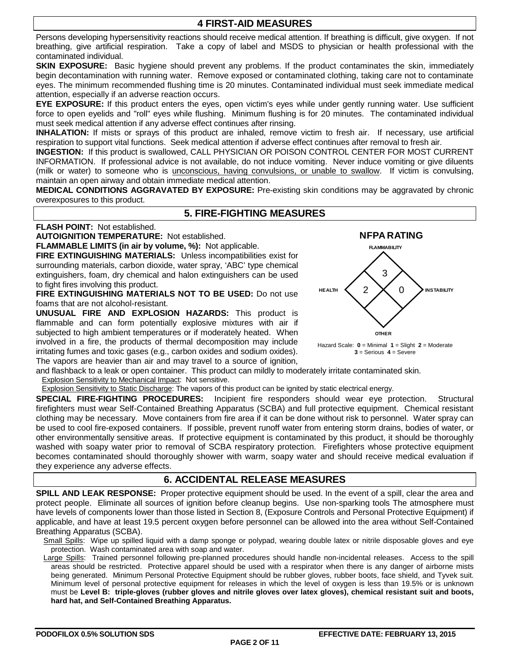Persons developing hypersensitivity reactions should receive medical attention. If breathing is difficult, give oxygen. If not breathing, give artificial respiration. Take a copy of label and MSDS to physician or health professional with the contaminated individual.

**SKIN EXPOSURE:** Basic hygiene should prevent any problems. If the product contaminates the skin, immediately begin decontamination with running water. Remove exposed or contaminated clothing, taking care not to contaminate eyes. The minimum recommended flushing time is 20 minutes. Contaminated individual must seek immediate medical attention, especially if an adverse reaction occurs.

**EYE EXPOSURE:** If this product enters the eyes, open victim's eyes while under gently running water. Use sufficient force to open eyelids and "roll" eyes while flushing. Minimum flushing is for 20 minutes. The contaminated individual must seek medical attention if any adverse effect continues after rinsing.

**INHALATION:** If mists or sprays of this product are inhaled, remove victim to fresh air. If necessary, use artificial respiration to support vital functions. Seek medical attention if adverse effect continues after removal to fresh air.

**INGESTION:** If this product is swallowed, CALL PHYSICIAN OR POISON CONTROL CENTER FOR MOST CURRENT INFORMATION. If professional advice is not available, do not induce vomiting. Never induce vomiting or give diluents (milk or water) to someone who is unconscious, having convulsions, or unable to swallow. If victim is convulsing, maintain an open airway and obtain immediate medical attention.

**MEDICAL CONDITIONS AGGRAVATED BY EXPOSURE:** Pre-existing skin conditions may be aggravated by chronic overexposures to this product.

## **5. FIRE-FIGHTING MEASURES**

**FLASH POINT:** Not established.

**AUTOIGNITION TEMPERATURE:** Not established.

**FLAMMABLE LIMITS (in air by volume, %):** Not applicable.

**FIRE EXTINGUISHING MATERIALS:** Unless incompatibilities exist for surrounding materials, carbon dioxide, water spray, 'ABC' type chemical extinguishers, foam, dry chemical and halon extinguishers can be used to fight fires involving this product.

**FIRE EXTINGUISHING MATERIALS NOT TO BE USED:** Do not use foams that are not alcohol-resistant.

**UNUSUAL FIRE AND EXPLOSION HAZARDS:** This product is flammable and can form potentially explosive mixtures with air if subjected to high ambient temperatures or if moderately heated. When involved in a fire, the products of thermal decomposition may include irritating fumes and toxic gases (e.g., carbon oxides and sodium oxides). The vapors are heavier than air and may travel to a source of ignition,



Hazard Scale: **0** = Minimal **1** = Slight **2** = Moderate **3** = Serious **4** = Severe

and flashback to a leak or open container. This product can mildly to moderately irritate contaminated skin. Explosion Sensitivity to Mechanical Impact: Not sensitive.

Explosion Sensitivity to Static Discharge: The vapors of this product can be ignited by static electrical energy.

**SPECIAL FIRE-FIGHTING PROCEDURES:** Incipient fire responders should wear eye protection. Structural firefighters must wear Self-Contained Breathing Apparatus (SCBA) and full protective equipment. Chemical resistant clothing may be necessary. Move containers from fire area if it can be done without risk to personnel. Water spray can be used to cool fire-exposed containers. If possible, prevent runoff water from entering storm drains, bodies of water, or other environmentally sensitive areas. If protective equipment is contaminated by this product, it should be thoroughly washed with soapy water prior to removal of SCBA respiratory protection. Firefighters whose protective equipment becomes contaminated should thoroughly shower with warm, soapy water and should receive medical evaluation if they experience any adverse effects.

## **6. ACCIDENTAL RELEASE MEASURES**

**SPILL AND LEAK RESPONSE:** Proper protective equipment should be used. In the event of a spill, clear the area and protect people. Eliminate all sources of ignition before cleanup begins. Use non-sparking tools The atmosphere must have levels of components lower than those listed in Section 8, (Exposure Controls and Personal Protective Equipment) if applicable, and have at least 19.5 percent oxygen before personnel can be allowed into the area without Self-Contained Breathing Apparatus (SCBA).

Small Spills: Wipe up spilled liquid with a damp sponge or polypad, wearing double latex or nitrile disposable gloves and eye protection. Wash contaminated area with soap and water.

Large Spills: Trained personnel following pre-planned procedures should handle non-incidental releases. Access to the spill areas should be restricted. Protective apparel should be used with a respirator when there is any danger of airborne mists being generated. Minimum Personal Protective Equipment should be rubber gloves, rubber boots, face shield, and Tyvek suit. Minimum level of personal protective equipment for releases in which the level of oxygen is less than 19.5% or is unknown must be **Level B: triple-gloves (rubber gloves and nitrile gloves over latex gloves), chemical resistant suit and boots, hard hat, and Self-Contained Breathing Apparatus.**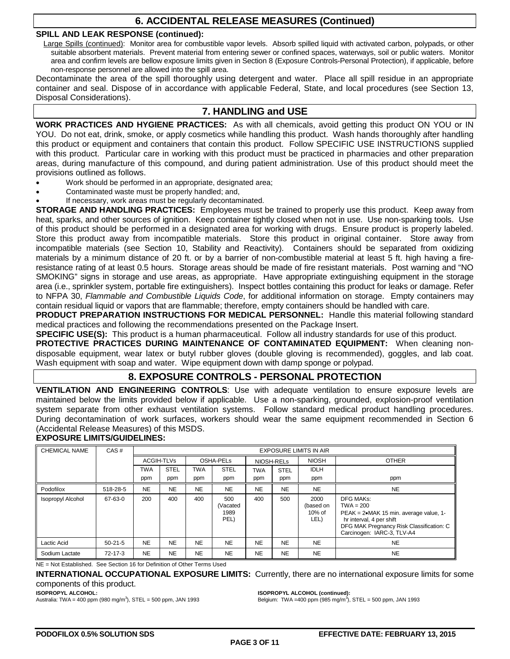## **6. ACCIDENTAL RELEASE MEASURES (Continued)**

## **SPILL AND LEAK RESPONSE (continued):**

Large Spills (continued): Monitor area for combustible vapor levels. Absorb spilled liquid with activated carbon, polypads, or other suitable absorbent materials. Prevent material from entering sewer or confined spaces, waterways, soil or public waters. Monitor area and confirm levels are bellow exposure limits given in Section 8 (Exposure Controls-Personal Protection), if applicable, before non-response personnel are allowed into the spill area.

Decontaminate the area of the spill thoroughly using detergent and water. Place all spill residue in an appropriate container and seal. Dispose of in accordance with applicable Federal, State, and local procedures (see Section 13, Disposal Considerations).

## **7. HANDLING and USE**

**WORK PRACTICES AND HYGIENE PRACTICES:** As with all chemicals, avoid getting this product ON YOU or IN YOU. Do not eat, drink, smoke, or apply cosmetics while handling this product. Wash hands thoroughly after handling this product or equipment and containers that contain this product. Follow SPECIFIC USE INSTRUCTIONS supplied with this product. Particular care in working with this product must be practiced in pharmacies and other preparation areas, during manufacture of this compound, and during patient administration. Use of this product should meet the provisions outlined as follows.

- Work should be performed in an appropriate, designated area;
- Contaminated waste must be properly handled; and,
- If necessary, work areas must be regularly decontaminated.

**STORAGE AND HANDLING PRACTICES:** Employees must be trained to properly use this product. Keep away from heat, sparks, and other sources of ignition. Keep container tightly closed when not in use. Use non-sparking tools. Use of this product should be performed in a designated area for working with drugs. Ensure product is properly labeled. Store this product away from incompatible materials. Store this product in original container. Store away from incompatible materials (see Section 10, Stability and Reactivity). Containers should be separated from oxidizing materials by a minimum distance of 20 ft. or by a barrier of non-combustible material at least 5 ft. high having a fireresistance rating of at least 0.5 hours. Storage areas should be made of fire resistant materials. Post warning and "NO SMOKING" signs in storage and use areas, as appropriate. Have appropriate extinguishing equipment in the storage area (i.e., sprinkler system, portable fire extinguishers). Inspect bottles containing this product for leaks or damage. Refer to NFPA 30, *Flammable and Combustible Liquids Code*, for additional information on storage. Empty containers may contain residual liquid or vapors that are flammable; therefore, empty containers should be handled with care.

**PRODUCT PREPARATION INSTRUCTIONS FOR MEDICAL PERSONNEL:** Handle this material following standard medical practices and following the recommendations presented on the Package Insert.

**SPECIFIC USE(S):** This product is a human pharmaceutical. Follow all industry standards for use of this product.

**PROTECTIVE PRACTICES DURING MAINTENANCE OF CONTAMINATED EQUIPMENT:** When cleaning nondisposable equipment, wear latex or butyl rubber gloves (double gloving is recommended), goggles, and lab coat. Wash equipment with soap and water. Wipe equipment down with damp sponge or polypad.

## **8. EXPOSURE CONTROLS - PERSONAL PROTECTION**

**VENTILATION AND ENGINEERING CONTROLS**: Use with adequate ventilation to ensure exposure levels are maintained below the limits provided below if applicable. Use a non-sparking, grounded, explosion-proof ventilation system separate from other exhaust ventilation systems. Follow standard medical product handling procedures. During decontamination of work surfaces, workers should wear the same equipment recommended in Section 6 (Accidental Release Measures) of this MSDS.

## **EXPOSURE LIMITS/GUIDELINES:**

| <b>CHEMICAL NAME</b>     | CAS#          | <b>EXPOSURE LIMITS IN AIR</b> |             |            |                                 |            |             |                                     |                                                                                                                                                                          |
|--------------------------|---------------|-------------------------------|-------------|------------|---------------------------------|------------|-------------|-------------------------------------|--------------------------------------------------------------------------------------------------------------------------------------------------------------------------|
|                          |               | <b>ACGIH-TLVs</b>             |             | OSHA-PELs  |                                 | NIOSH-RELs |             | <b>NIOSH</b>                        | <b>OTHER</b>                                                                                                                                                             |
|                          |               | TWA                           | <b>STEL</b> | <b>TWA</b> | <b>STEL</b>                     | <b>TWA</b> | <b>STEL</b> | <b>IDLH</b>                         |                                                                                                                                                                          |
|                          |               | ppm                           | ppm         | ppm        | ppm                             | ppm        | ppm         | ppm                                 | ppm                                                                                                                                                                      |
| Podofilox                | 518-28-5      | <b>NE</b>                     | <b>NE</b>   | <b>NE</b>  | <b>NE</b>                       | <b>NE</b>  | <b>NE</b>   | <b>NE</b>                           | <b>NE</b>                                                                                                                                                                |
| <b>Isopropyl Alcohol</b> | 67-63-0       | 200                           | 400         | 400        | 500<br>(Vacated<br>1989<br>PEL) | 400        | 500         | 2000<br>(based on<br>10% of<br>LEL) | DFG MAKs:<br>$TWA = 200$<br>PEAK = 2•MAK 15 min. average value, 1-<br>hr interval, 4 per shift<br>DFG MAK Pregnancy Risk Classification: C<br>Carcinogen: IARC-3, TLV-A4 |
| Lactic Acid              | $50-21-5$     | <b>NE</b>                     | <b>NE</b>   | <b>NE</b>  | <b>NE</b>                       | <b>NE</b>  | <b>NE</b>   | <b>NE</b>                           | <b>NE</b>                                                                                                                                                                |
| Sodium Lactate           | $72 - 17 - 3$ | <b>NE</b>                     | <b>NE</b>   | <b>NE</b>  | <b>NE</b>                       | <b>NE</b>  | <b>NE</b>   | <b>NE</b>                           | <b>NE</b>                                                                                                                                                                |

NE = Not Established. See Section 16 for Definition of Other Terms Used

**INTERNATIONAL OCCUPATIONAL EXPOSURE LIMITS:** Currently, there are no international exposure limits for some components of this product.

**ISOPROPYL ALCOHOL:**

Australia: TWA = 400 ppm (980 mg/m<sup>3</sup>), STEL = 500 ppm, JAN 1993

**ISOPROPYL ALCOHOL (continued):**

Belgium: TWA = 400 ppm (985 mg/m<sup>3</sup>), STEL = 500 ppm, JAN 1993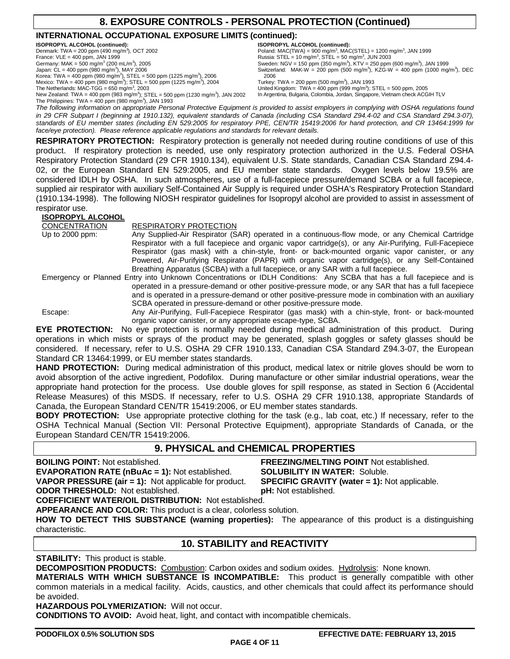## **8. EXPOSURE CONTROLS - PERSONAL PROTECTION (Continued)**

## **INTERNATIONAL OCCUPATIONAL EXPOSURE LIMITS (continued):**

**ISOPROPYL ALCOHOL (continued):**<br>Denmark: TWA = 200 ppm (490 mg/m<sup>3</sup>), OCT 2002 France:  $VLE = 400$  ppm, JAN 1999 Germany: MAK =  $500 \text{ mg/m}^3$  (200 mL/m<sup>3</sup>), 2005 Japan: CL = 400 ppm (980 mg/m<sup>3</sup>), MAY 2006 Korea: TWA = 400 ppm (980 mg/m<sup>3</sup>), STEL = 500 ppm (1225 mg/m<sup>3</sup>), 2006<br>Mexico: TWA = 400 ppm (980 mg/m<sup>3</sup>); STEL = 500 ppm (1225 mg/m<sup>3</sup>), 2004 The Netherlands: MAC-TGG =  $650 \text{ mg/m}^3$ , 2003 New Zealand: TWA = 400 ppm (983 mg/m<sup>3</sup>); STEL = 500 ppm (1230 mg/m<sup>3</sup>), JAN 2002 **ISOPROPYL ALCOHOL (continued):**

Poland: MAC(TWA) = 900 mg/m<sup>3</sup>, MAC(STEL) = 1200 mg/m<sup>3</sup>, JAN 1999 Russia: STEL = 10 mg/m<sup>3</sup>, STEL = 50 mg/m<sup>3</sup>, JUN 2003 Sweden: NGV = 150 ppm (350 mg/m<sup>3</sup>), KTV = 250 ppm (600 mg/m<sup>3</sup>), JAN 1999 Switzerland: MAK-W = 200 ppm (500 mg/m<sup>3</sup>), KZG-W = 400 ppm (1000 mg/m<sup>3</sup>), DEC 2006 Turkey: TWA =  $200$  ppm (500 mg/m<sup>3</sup>), JAN 1993

United Kingdom: TWA = 400 ppm (999 mg/m<sup>3</sup>); STEL = 500 ppm, 2005<br>In Argentina, Bulgaria, Colombia, Jordan, Singapore, Vietnam check ACGIH TLV

The Philippines: TWA =  $400$  ppm (980 mg/m<sup>3</sup>), JAN 1993 *The following information on appropriate Personal Protective Equipment is provided to assist employers in complying with OSHA regulations found in 29 CFR Subpart I (beginning at 1910.132), equivalent standards of Canada (including CSA Standard Z94.4-02 and CSA Standard Z94.3-07), standards of EU member states (including EN 529:2005 for respiratory PPE, CEN/TR 15419:2006 for hand protection, and CR 13464:1999 for face/eye protection). Please reference applicable regulations and standards for relevant details.*

**RESPIRATORY PROTECTION:** Respiratory protection is generally not needed during routine conditions of use of this product. If respiratory protection is needed, use only respiratory protection authorized in the U.S. Federal OSHA Respiratory Protection Standard (29 CFR 1910.134), equivalent U.S. State standards, Canadian CSA Standard Z94.4- 02, or the European Standard EN 529:2005, and EU member state standards. Oxygen levels below 19.5% are considered IDLH by OSHA. In such atmospheres, use of a full-facepiece pressure/demand SCBA or a full facepiece, supplied air respirator with auxiliary Self-Contained Air Supply is required under OSHA's Respiratory Protection Standard (1910.134-1998). The following NIOSH respirator guidelines for Isopropyl alcohol are provided to assist in assessment of respirator use.

## **ISOPROPYL ALCOHOL**

| <b>CONCENTRATION</b> | <b>RESPIRATORY PROTECTION</b>                                                                                        |
|----------------------|----------------------------------------------------------------------------------------------------------------------|
| Up to $2000$ ppm:    | Any Supplied-Air Respirator (SAR) operated in a continuous-flow mode, or any Chemical Cartridge                      |
|                      | Respirator with a full facepiece and organic vapor cartridge(s), or any Air-Purifying, Full-Facepiece                |
|                      | Respirator (gas mask) with a chin-style, front- or back-mounted organic vapor canister, or any                       |
|                      | Powered, Air-Purifying Respirator (PAPR) with organic vapor cartridge(s), or any Self-Contained                      |
|                      | Breathing Apparatus (SCBA) with a full facepiece, or any SAR with a full facepiece.                                  |
|                      | Emergency or Planned Entry into Unknown Concentrations or IDLH Conditions: Any SCBA that has a full facepiece and is |
|                      | operated in a pressure-demand or other positive-pressure mode, or any SAR that has a full facepiece                  |
|                      | and is operated in a pressure-demand or other positive-pressure mode in combination with an auxiliary                |
|                      | SCBA operated in pressure-demand or other positive-pressure mode.                                                    |
| Escape:              | Any Air-Purifying, Full-Facepiece Respirator (gas mask) with a chin-style, front- or back-mounted                    |

organic vapor canister, or any appropriate escape-type, SCBA. **EYE PROTECTION:** No eye protection is normally needed during medical administration of this product. During operations in which mists or sprays of the product may be generated, splash goggles or safety glasses should be considered. If necessary, refer to U.S. OSHA 29 CFR 1910.133, Canadian CSA Standard Z94.3-07, the European Standard CR 13464:1999, or EU member states standards.

**HAND PROTECTION:** During medical administration of this product, medical latex or nitrile gloves should be worn to avoid absorption of the active ingredient, Podofilox. During manufacture or other similar industrial operations, wear the appropriate hand protection for the process. Use double gloves for spill response, as stated in Section 6 (Accidental Release Measures) of this MSDS. If necessary, refer to U.S. OSHA 29 CFR 1910.138, appropriate Standards of Canada, the European Standard CEN/TR 15419:2006, or EU member states standards.

**BODY PROTECTION:** Use appropriate protective clothing for the task (e.g., lab coat, etc.) If necessary, refer to the OSHA Technical Manual (Section VII: Personal Protective Equipment), appropriate Standards of Canada, or the European Standard CEN/TR 15419:2006.

## **9. PHYSICAL and CHEMICAL PROPERTIES**

**EVAPORATION RATE (nBuAc = 1):** Not established. **SOLUBILITY IN WATER:** Soluble.<br>VAPOR PRESSURE (air = 1): Not applicable for product. SPECIFIC GRAVITY (water = 1): Not applicable. **VAPOR PRESSURE (air = 1):** Not applicable for product. **ODOR THRESHOLD:** Not established. **pH:** Not established.

**BOILING POINT:** Not established. **FREEZING/MELTING POINT** Not established.

**COEFFICIENT WATER/OIL DISTRIBUTION:** Not established.

**APPEARANCE AND COLOR:** This product is a clear, colorless solution.

**HOW TO DETECT THIS SUBSTANCE (warning properties):** The appearance of this product is a distinguishing characteristic.

## **10. STABILITY and REACTIVITY**

**STABILITY:** This product is stable.

**DECOMPOSITION PRODUCTS:** Combustion: Carbon oxides and sodium oxides. Hydrolysis: None known.

**MATERIALS WITH WHICH SUBSTANCE IS INCOMPATIBLE:** This product is generally compatible with other common materials in a medical facility. Acids, caustics, and other chemicals that could affect its performance should be avoided.

**HAZARDOUS POLYMERIZATION:** Will not occur.

**CONDITIONS TO AVOID:** Avoid heat, light, and contact with incompatible chemicals.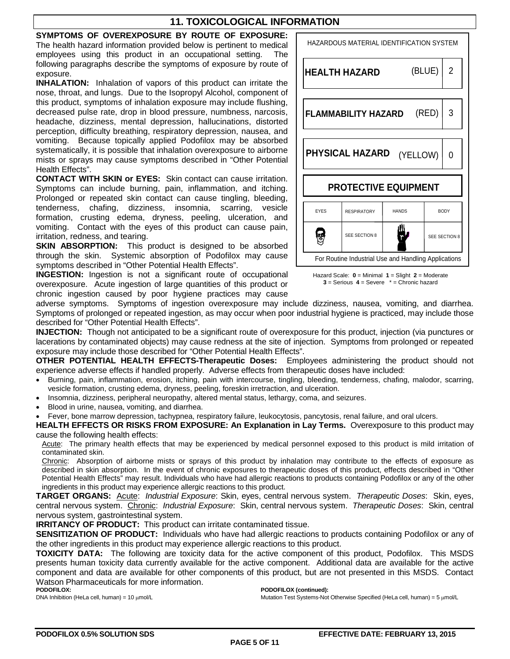## **11. TOXICOLOGICAL INFORMATION**

## **SYMPTOMS OF OVEREXPOSURE BY ROUTE OF EXPOSURE:**

The health hazard information provided below is pertinent to medical employees using this product in an occupational setting. The following paragraphs describe the symptoms of exposure by route of exposure.

**INHALATION:** Inhalation of vapors of this product can irritate the nose, throat, and lungs. Due to the Isopropyl Alcohol, component of this product, symptoms of inhalation exposure may include flushing, decreased pulse rate, drop in blood pressure, numbness, narcosis, headache, dizziness, mental depression, hallucinations, distorted perception, difficulty breathing, respiratory depression, nausea, and vomiting. Because topically applied Podofilox may be absorbed systematically, it is possible that inhalation overexposure to airborne mists or sprays may cause symptoms described in "Other Potential Health Effects".

**CONTACT WITH SKIN or EYES:** Skin contact can cause irritation. Symptoms can include burning, pain, inflammation, and itching. Prolonged or repeated skin contact can cause tingling, bleeding, tenderness, chafing, dizziness, insomnia, scarring, vesicle formation, crusting edema, dryness, peeling, ulceration, and vomiting. Contact with the eyes of this product can cause pain, irritation, redness, and tearing.

**SKIN ABSORPTION:** This product is designed to be absorbed through the skin. Systemic absorption of Podofilox may cause symptoms described in "Other Potential Health Effects".

**INGESTION:** Ingestion is not a significant route of occupational overexposure. Acute ingestion of large quantities of this product or chronic ingestion caused by poor hygiene practices may cause

## HAZARDOUS MATERIAL IDENTIFICATION SYSTEM (BLUE) 2 **HEALTH HAZARD** (RED) 3 **FLAMMABILITY HAZARD PHYSICAL HAZARD** (YELLOW) 0 **PROTECTIVE EQUIPMENT** EYES RESPIRATORY HANDS BODY e) SEE SECTION 8 SEE SECTION 8 For Routine Industrial Use and Handling Applications



adverse symptoms. Symptoms of ingestion overexposure may include dizziness, nausea, vomiting, and diarrhea. Symptoms of prolonged or repeated ingestion, as may occur when poor industrial hygiene is practiced, may include those described for "Other Potential Health Effects".

**INJECTION:** Though not anticipated to be a significant route of overexposure for this product, injection (via punctures or lacerations by contaminated objects) may cause redness at the site of injection. Symptoms from prolonged or repeated exposure may include those described for "Other Potential Health Effects".

**OTHER POTENTIAL HEALTH EFFECTS-Therapeutic Doses:** Employees administering the product should not experience adverse effects if handled properly. Adverse effects from therapeutic doses have included:

- Burning, pain, inflammation, erosion, itching, pain with intercourse, tingling, bleeding, tenderness, chafing, malodor, scarring, vesicle formation, crusting edema, dryness, peeling, foreskin irretraction, and ulceration.
- Insomnia, dizziness, peripheral neuropathy, altered mental status, lethargy, coma, and seizures.
- Blood in urine, nausea, vomiting, and diarrhea.

• Fever, bone marrow depression, tachypnea, respiratory failure, leukocytosis, pancytosis, renal failure, and oral ulcers.

**HEALTH EFFECTS OR RISKS FROM EXPOSURE: An Explanation in Lay Terms.** Overexposure to this product may cause the following health effects:

Acute: The primary health effects that may be experienced by medical personnel exposed to this product is mild irritation of contaminated skin.

Chronic: Absorption of airborne mists or sprays of this product by inhalation may contribute to the effects of exposure as described in skin absorption. In the event of chronic exposures to therapeutic doses of this product, effects described in "Other Potential Health Effects" may result. Individuals who have had allergic reactions to products containing Podofilox or any of the other ingredients in this product may experience allergic reactions to this product.

**TARGET ORGANS:** Acute: *Industrial Exposure*: Skin, eyes, central nervous system. *Therapeutic Doses*: Skin, eyes, central nervous system. Chronic: *Industrial Exposure*: Skin, central nervous system. *Therapeutic Doses*: Skin, central nervous system, gastrointestinal system.

**IRRITANCY OF PRODUCT:** This product can irritate contaminated tissue.

**SENSITIZATION OF PRODUCT:** Individuals who have had allergic reactions to products containing Podofilox or any of the other ingredients in this product may experience allergic reactions to this product.

**TOXICITY DATA:** The following are toxicity data for the active component of this product, Podofilox. This MSDS presents human toxicity data currently available for the active component. Additional data are available for the active component and data are available for other components of this product, but are not presented in this MSDS. Contact Watson Pharmaceuticals for more information.

**PODOFILOX:**

DNA Inhibition (HeLa cell, human) =  $10 \mu$ mol/L

**PODOFILOX (continued):**

Mutation Test Systems-Not Otherwise Specified (HeLa cell, human) = 5 µmol/L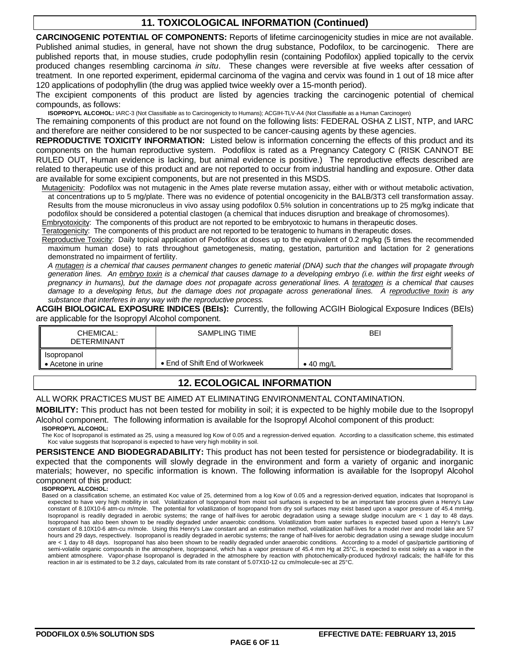## **11. TOXICOLOGICAL INFORMATION (Continued)**

**CARCINOGENIC POTENTIAL OF COMPONENTS:** Reports of lifetime carcinogenicity studies in mice are not available. Published animal studies, in general, have not shown the drug substance, Podofilox, to be carcinogenic. There are published reports that, in mouse studies, crude podophyllin resin (containing Podofilox) applied topically to the cervix produced changes resembling carcinoma *in situ*. These changes were reversible at five weeks after cessation of treatment. In one reported experiment, epidermal carcinoma of the vagina and cervix was found in 1 out of 18 mice after 120 applications of podophyllin (the drug was applied twice weekly over a 15-month period).

The excipient components of this product are listed by agencies tracking the carcinogenic potential of chemical compounds, as follows:

**ISOPROPYL ALCOHOL:** IARC-3 (Not Classifiable as to Carcinogenicity to Humans); ACGIH-TLV-A4 (Not Classifiable as a Human Carcinogen)

The remaining components of this product are not found on the following lists: FEDERAL OSHA Z LIST, NTP, and IARC and therefore are neither considered to be nor suspected to be cancer-causing agents by these agencies.

**REPRODUCTIVE TOXICITY INFORMATION:** Listed below is information concerning the effects of this product and its components on the human reproductive system. Podofilox is rated as a Pregnancy Category C (RISK CANNOT BE RULED OUT, Human evidence is lacking, but animal evidence is positive.) The reproductive effects described are related to therapeutic use of this product and are not reported to occur from industrial handling and exposure. Other data are available for some excipient components, but are not presented in this MSDS.

Mutagenicity: Podofilox was not mutagenic in the Ames plate reverse mutation assay, either with or without metabolic activation, at concentrations up to 5 mg/plate. There was no evidence of potential oncogenicity in the BALB/3T3 cell transformation assay. Results from the mouse micronucleus in vivo assay using podofilox 0.5% solution in concentrations up to 25 mg/kg indicate that podofilox should be considered a potential clastogen (a chemical that induces disruption and breakage of chromosomes).

Embryotoxicity: The components of this product are not reported to be embryotoxic to humans in therapeutic doses.

Teratogenicity: The components of this product are not reported to be teratogenic to humans in therapeutic doses.

Reproductive Toxicity: Daily topical application of Podofilox at doses up to the equivalent of 0.2 mg/kg (5 times the recommended maximum human dose) to rats throughout gametogenesis, mating, gestation, parturition and lactation for 2 generations demonstrated no impairment of fertility.

*A mutagen is a chemical that causes permanent changes to genetic material (DNA) such that the changes will propagate through generation lines. An embryo toxin is a chemical that causes damage to a developing embryo (i.e. within the first eight weeks of pregnancy in humans), but the damage does not propagate across generational lines. A teratogen is a chemical that causes damage to a developing fetus, but the damage does not propagate across generational lines. A reproductive toxin is any substance that interferes in any way with the reproductive process.*

**ACGIH BIOLOGICAL EXPOSURE INDICES (BEIs):** Currently, the following ACGIH Biological Exposure Indices (BEIs) are applicable for the Isopropyl Alcohol component.

| CHEMICAL:<br><b>DETERMINANT</b> | SAMPLING TIME                          | BEI               |
|---------------------------------|----------------------------------------|-------------------|
| Isopropanol<br>Acetone in urine | $\bullet$ End of Shift End of Workweek | $\bullet$ 40 mg/L |

## **12. ECOLOGICAL INFORMATION**

ALL WORK PRACTICES MUST BE AIMED AT ELIMINATING ENVIRONMENTAL CONTAMINATION.

**MOBILITY:** This product has not been tested for mobility in soil; it is expected to be highly mobile due to the Isopropyl Alcohol component. The following information is available for the Isopropyl Alcohol component of this product:

**ISOPROPYL ALCOHOL:**

The Koc of Isopropanol is estimated as 25, using a measured log Kow of 0.05 and a regression-derived equation. According to a classification scheme, this estimated Koc value suggests that Isopropanol is expected to have very high mobility in soil.

**PERSISTENCE AND BIODEGRADABILITY:** This product has not been tested for persistence or biodegradability. It is expected that the components will slowly degrade in the environment and form a variety of organic and inorganic materials; however, no specific information is known. The following information is available for the Isopropyl Alcohol component of this product:

**ISOPROPYL ALCOHOL:**

Based on a classification scheme, an estimated Koc value of 25, determined from a log Kow of 0.05 and a regression-derived equation, indicates that Isopropanol is expected to have very high mobility in soil. Volatilization of Isopropanol from moist soil surfaces is expected to be an important fate process given a Henry's Law constant of 8.10X10-6 atm-cu m/mole. The potential for volatilization of Isopropanol from dry soil surfaces may exist based upon a vapor pressure of 45.4 mmHg. Isopropanol is readily degraded in aerobic systems; the range of half-lives for aerobic degradation using a sewage sludge inoculum are < 1 day to 48 days. Isopropanol has also been shown to be readily degraded under anaerobic conditions. Volatilization from water surfaces is expected based upon a Henry's Law constant of 8.10X10-6 atm-cu m/mole. Using this Henry's Law constant and an estimation method, volatilization half-lives for a model river and model lake are 57 hours and 29 days, respectively. Isopropanol is readily degraded in aerobic systems; the range of half-lives for aerobic degradation using a sewage sludge inoculum are < 1 day to 48 days. Isopropanol has also been shown to be readily degraded under anaerobic conditions. According to a model of gas/particle partitioning of semi-volatile organic compounds in the atmosphere, Isopropanol, which has a vapor pressure of 45.4 mm Hg at 25°C, is expected to exist solely as a vapor in the ambient atmosphere. Vapor-phase Isopropanol is degraded in the atmosphere by reaction with photochemically-produced hydroxyl radicals; the half-life for this reaction in air is estimated to be 3.2 days, calculated from its rate constant of 5.07X10-12 cu cm/molecule-sec at 25°C.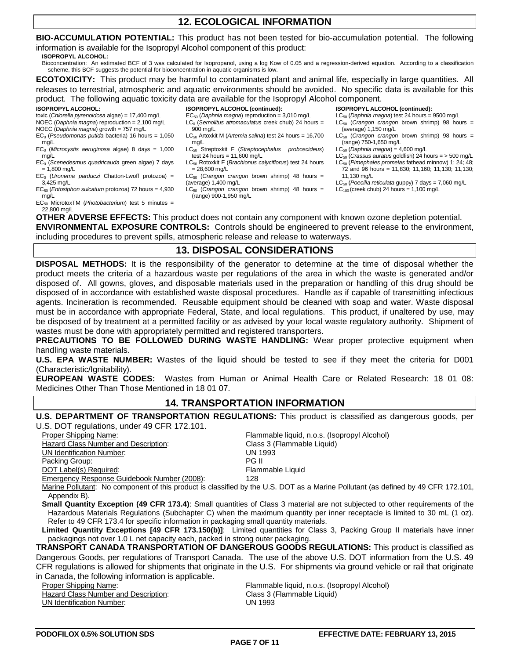## **12. ECOLOGICAL INFORMATION**

**BIO-ACCUMULATION POTENTIAL:** This product has not been tested for bio-accumulation potential. The following information is available for the Isopropyl Alcohol component of this product:

**ISOPROPYL ALCOHOL:**

Bioconcentration: An estimated BCF of 3 was calculated for Isopropanol, using a log Kow of 0.05 and a regression-derived equation. According to a classification scheme, this BCF suggests the potential for bioconcentration in aquatic organisms is low.

**ECOTOXICITY:** This product may be harmful to contaminated plant and animal life, especially in large quantities. All releases to terrestrial, atmospheric and aquatic environments should be avoided. No specific data is available for this product. The following aquatic toxicity data are available for the Isopropyl Alcohol component.

### **ISOPROPYL ALCOHOL:**

- toxic (*Chlorella pyrenoidosa* algae) = 17,400 mg/L
- NOEC (*Daphnia magna*) reproduction = 2,100 mg/L
- NOEC (*Daphnia magna*) growth = 757 mg/L EC0 (*Pseudomonas putida* bacteria) 16 hours = 1,050
- mg/L
- EC0 (*Microcystis aeruginosa* algae) 8 days = 1,000 mg/L
- EC0 (*Scenedesmus quadricauda* green algae) 7 days  $= 1,800$  mg/L
- EC0 (*Uronema parduczi* Chatton-Lwoff protozoa) = 3,425 mg/L
- EC50 (*Entosiphon sulcatum* protozoa) 72 hours = 4,930 mg/L
- EC50 MicrotoxTM (*Photobacterium*) test 5 minutes = 22,800 mg/L
- **ISOPROPYL ALCOHOL (continued):**
- EC50 (*Daphnia magna*) reproduction = 3,010 mg/L LC0 (*Semolitus atromaculatus* creek chub) 24 hours = 900 mg/L
- LC50 Artoxkit M (*Artemia salina*) test 24 hours = 16,700 mg/L
- LC50 Streptoxkit F (*Streptocephalus proboscideus*) test 24 hours = 11,600 mg/L
- LC50 Rotoxkit F (*Brachionus calyciflorus*) test 24 hours  $= 28,600 \text{ mg/L}$
- LC50 (*Crangon crangon* brown shrimp) 48 hours = (average) 1,400 mg/L
- LC50 (*Crangon crangon* brown shrimp) 48 hours = (range) 900-1,950 mg/L

## **ISOPROPYL ALCOHOL (continued):**

- LC50 (*Daphnia magna*) test 24 hours = 9500 mg/L LC50 (*Crangon crangon* brown shrimp) 98 hours =
- (average) 1,150 mg/L LC50 (*Crangon crangon* brown shrimp) 98 hours = (range) 750-1,650 mg/L
- LC50 (*Daphnia magna*) = 4,600 mg/L
- LC50 (*Crassus auratus* goldfish) 24 hours = > 500 mg/L
- LC50 (*Pimephales promelas* fathead minnow) 1; 24; 48; 72 and 96 hours = 11,830; 11,160; 11,130; 11,130; 11,130 mg/L
- LC50 (*Poecilia reticulata* guppy) 7 days = 7,060 mg/L
- $LC_{100}$  (creek chub) 24 hours = 1,100 mg/L

**OTHER ADVERSE EFFECTS:** This product does not contain any component with known ozone depletion potential. **ENVIRONMENTAL EXPOSURE CONTROLS:** Controls should be engineered to prevent release to the environment, including procedures to prevent spills, atmospheric release and release to waterways.

## **13. DISPOSAL CONSIDERATIONS**

**DISPOSAL METHODS:** It is the responsibility of the generator to determine at the time of disposal whether the product meets the criteria of a hazardous waste per regulations of the area in which the waste is generated and/or disposed of. All gowns, gloves, and disposable materials used in the preparation or handling of this drug should be disposed of in accordance with established waste disposal procedures. Handle as if capable of transmitting infectious agents. Incineration is recommended. Reusable equipment should be cleaned with soap and water. Waste disposal must be in accordance with appropriate Federal, State, and local regulations. This product, if unaltered by use, may be disposed of by treatment at a permitted facility or as advised by your local waste regulatory authority. Shipment of wastes must be done with appropriately permitted and registered transporters.

**PRECAUTIONS TO BE FOLLOWED DURING WASTE HANDLING:** Wear proper protective equipment when handling waste materials.

**U.S. EPA WASTE NUMBER:** Wastes of the liquid should be tested to see if they meet the criteria for D001 (Characteristic/Ignitability).

**EUROPEAN WASTE CODES:** Wastes from Human or Animal Health Care or Related Research: 18 01 08: Medicines Other Than Those Mentioned in 18 01 07.

## **14. TRANSPORTATION INFORMATION**

## **U.S. DEPARTMENT OF TRANSPORTATION REGULATIONS:** This product is classified as dangerous goods, per

U.S. DOT regulations, under 49 CFR 172.101. Proper Shipping Name: Flammable liquid, n.o.s. (Isopropyl Alcohol) Hazard Class Number and Description:<br>
UN Identification Number:<br>
UN 1993 <u>UN Identification Number</u>:<br>
Packing Group: UN 1993<br>
PG II Packing Group: DOT Label(s) Required: The Contract of the Contract of the Flammable Liquid Emergency Response Guidebook Number (2008): 128

Marine Pollutant: No component of this product is classified by the U.S. DOT as a Marine Pollutant (as defined by 49 CFR 172.101, Appendix B).

**Small Quantity Exception (49 CFR 173.4)**: Small quantities of Class 3 material are not subjected to other requirements of the Hazardous Materials Regulations (Subchapter C) when the maximum quantity per inner receptacle is limited to 30 mL (1 oz). Refer to 49 CFR 173.4 for specific information in packaging small quantity materials.

**Limited Quantity Exceptions [49 CFR 173.150(b)]**: Limited quantities for Class 3, Packing Group II materials have inner packagings not over 1.0 L net capacity each, packed in strong outer packaging.

**TRANSPORT CANADA TRANSPORTATION OF DANGEROUS GOODS REGULATIONS:** This product is classified as Dangerous Goods, per regulations of Transport Canada. The use of the above U.S. DOT information from the U.S. 49 CFR regulations is allowed for shipments that originate in the U.S. For shipments via ground vehicle or rail that originate in Canada, the following information is applicable.<br>Proper Shipping Name:

Hazard Class Number and Description: Class 3 (Elass 3 (Flammable Liquid) Class 3 (Figure 2013)<br>
UN Identification Number:

**UN Identification Number:** 

Flammable liquid, n.o.s. (Isopropyl Alcohol)<br>Class 3 (Flammable Liquid)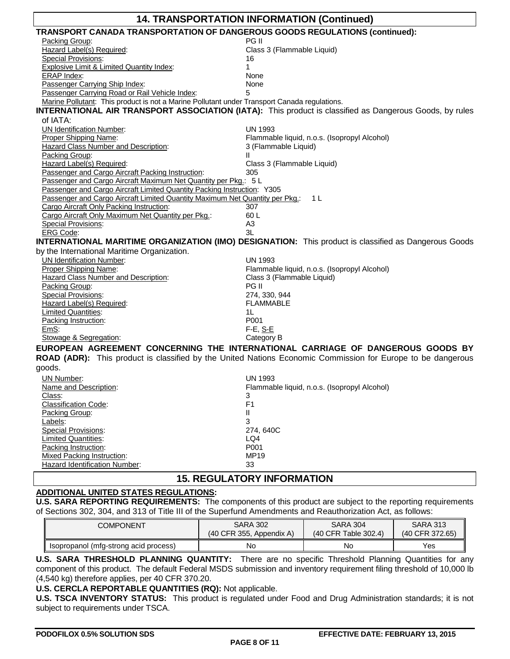| 14. TRANSPORTATION INFORMATION (Continued)                                                                  |                                                                                                                |  |  |  |
|-------------------------------------------------------------------------------------------------------------|----------------------------------------------------------------------------------------------------------------|--|--|--|
| TRANSPORT CANADA TRANSPORTATION OF DANGEROUS GOODS REGULATIONS (continued):                                 |                                                                                                                |  |  |  |
| Packing Group:                                                                                              | PG II                                                                                                          |  |  |  |
| Hazard Label(s) Required:                                                                                   | Class 3 (Flammable Liquid)                                                                                     |  |  |  |
| <b>Special Provisions:</b>                                                                                  | 16                                                                                                             |  |  |  |
| <b>Explosive Limit &amp; Limited Quantity Index:</b>                                                        | 1                                                                                                              |  |  |  |
| <b>ERAP Index:</b>                                                                                          | None                                                                                                           |  |  |  |
| Passenger Carrying Ship Index:                                                                              | None                                                                                                           |  |  |  |
| Passenger Carrying Road or Rail Vehicle Index:                                                              |                                                                                                                |  |  |  |
| Marine Pollutant: This product is not a Marine Pollutant under Transport Canada regulations.                |                                                                                                                |  |  |  |
|                                                                                                             | <b>INTERNATIONAL AIR TRANSPORT ASSOCIATION (IATA):</b> This product is classified as Dangerous Goods, by rules |  |  |  |
| of IATA:                                                                                                    |                                                                                                                |  |  |  |
| <b>UN Identification Number:</b>                                                                            | <b>UN 1993</b>                                                                                                 |  |  |  |
| Proper Shipping Name:                                                                                       | Flammable liquid, n.o.s. (Isopropyl Alcohol)                                                                   |  |  |  |
| <b>Hazard Class Number and Description:</b>                                                                 | 3 (Flammable Liquid)                                                                                           |  |  |  |
| Packing Group:                                                                                              | Ш                                                                                                              |  |  |  |
| Hazard Label(s) Required:                                                                                   | Class 3 (Flammable Liquid)                                                                                     |  |  |  |
| Passenger and Cargo Aircraft Packing Instruction:                                                           | 305                                                                                                            |  |  |  |
| Passenger and Cargo Aircraft Maximum Net Quantity per Pkg.: 5 L                                             |                                                                                                                |  |  |  |
| Passenger and Cargo Aircraft Limited Quantity Packing Instruction: Y305                                     |                                                                                                                |  |  |  |
| Passenger and Cargo Aircraft Limited Quantity Maximum Net Quantity per Pkg.:                                | 1 L                                                                                                            |  |  |  |
| Cargo Aircraft Only Packing Instruction:                                                                    | 307                                                                                                            |  |  |  |
| Cargo Aircraft Only Maximum Net Quantity per Pkg.:                                                          | 60 L                                                                                                           |  |  |  |
| <b>Special Provisions:</b>                                                                                  | A <sub>3</sub>                                                                                                 |  |  |  |
| <b>ERG Code:</b>                                                                                            | 3L                                                                                                             |  |  |  |
|                                                                                                             | <b>INTERNATIONAL MARITIME ORGANIZATION (IMO) DESIGNATION:</b> This product is classified as Dangerous Goods    |  |  |  |
| by the International Maritime Organization.                                                                 |                                                                                                                |  |  |  |
| <b>UN Identification Number:</b>                                                                            | <b>UN 1993</b>                                                                                                 |  |  |  |
| Proper Shipping Name:                                                                                       | Flammable liquid, n.o.s. (Isopropyl Alcohol)                                                                   |  |  |  |
| <b>Hazard Class Number and Description:</b>                                                                 | Class 3 (Flammable Liquid)                                                                                     |  |  |  |
| Packing Group:                                                                                              | PG II                                                                                                          |  |  |  |
| <b>Special Provisions:</b>                                                                                  | 274, 330, 944                                                                                                  |  |  |  |
| Hazard Label(s) Required:                                                                                   | <b>FLAMMABLE</b>                                                                                               |  |  |  |
| <b>Limited Quantities:</b>                                                                                  | 1L                                                                                                             |  |  |  |
| Packing Instruction:                                                                                        | P001                                                                                                           |  |  |  |
| EmS:                                                                                                        | F-E, S-E                                                                                                       |  |  |  |
| Stowage & Segregation:                                                                                      | Category B                                                                                                     |  |  |  |
|                                                                                                             | EUROPEAN AGREEMENT CONCERNING THE INTERNATIONAL CARRIAGE OF DANGEROUS GOODS BY                                 |  |  |  |
| ROAD (ADR): This product is classified by the United Nations Economic Commission for Europe to be dangerous |                                                                                                                |  |  |  |
| goods.                                                                                                      |                                                                                                                |  |  |  |
| UN Number:                                                                                                  | <b>UN 1993</b>                                                                                                 |  |  |  |
| Name and Description:                                                                                       | Flammable liquid, n.o.s. (Isopropyl Alcohol)                                                                   |  |  |  |
| Class:                                                                                                      | 3                                                                                                              |  |  |  |
| <b>Classification Code:</b>                                                                                 | F <sub>1</sub>                                                                                                 |  |  |  |
| Packing Group:                                                                                              | Ш                                                                                                              |  |  |  |
| Labels:                                                                                                     | 3                                                                                                              |  |  |  |
| <b>Special Provisions:</b>                                                                                  | 274, 640C                                                                                                      |  |  |  |
| <b>Limited Quantities:</b>                                                                                  | LQ4                                                                                                            |  |  |  |
| Packing Instruction:                                                                                        | P001                                                                                                           |  |  |  |
| <b>Mixed Packing Instruction:</b>                                                                           | MP19                                                                                                           |  |  |  |
| <b>Hazard Identification Number:</b>                                                                        | 33                                                                                                             |  |  |  |
|                                                                                                             |                                                                                                                |  |  |  |
| <b>15. REGULATORY INFORMATION</b>                                                                           |                                                                                                                |  |  |  |

## **ADDITIONAL UNITED STATES REGULATIONS:**

**U.S. SARA REPORTING REQUIREMENTS:** The components of this product are subject to the reporting requirements of Sections 302, 304, and 313 of Title III of the Superfund Amendments and Reauthorization Act, as follows:

| <b>COMPONENT</b>                      | <b>SARA 302</b>            | <b>SARA 304</b>        | <b>SARA 313</b> |
|---------------------------------------|----------------------------|------------------------|-----------------|
|                                       | $(40$ CFR 355, Appendix A) | $(40$ CFR Table 302.4) | (40 CFR 372.65) |
| Isopropanol (mfg-strong acid process) | No                         | No                     | Yes             |

**U.S. SARA THRESHOLD PLANNING QUANTITY:** There are no specific Threshold Planning Quantities for any component of this product. The default Federal MSDS submission and inventory requirement filing threshold of 10,000 lb (4,540 kg) therefore applies, per 40 CFR 370.20.

## **U.S. CERCLA REPORTABLE QUANTITIES (RQ):** Not applicable.

**U.S. TSCA INVENTORY STATUS:** This product is regulated under Food and Drug Administration standards; it is not subject to requirements under TSCA.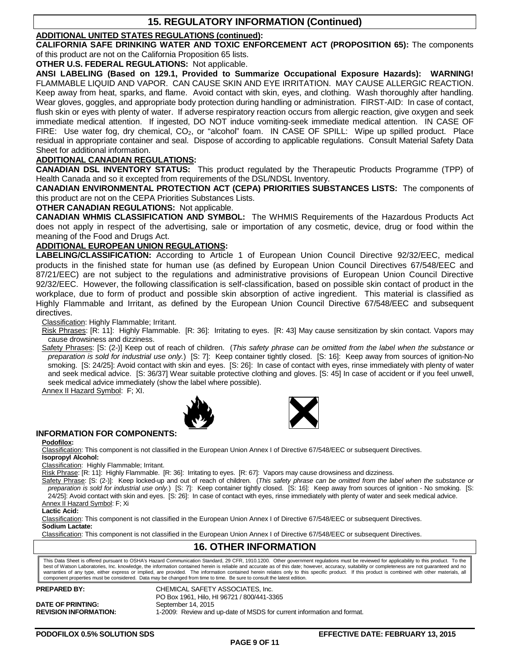## **15. REGULATORY INFORMATION (Continued)**

## **ADDITIONAL UNITED STATES REGULATIONS (continued):**

**CALIFORNIA SAFE DRINKING WATER AND TOXIC ENFORCEMENT ACT (PROPOSITION 65):** The components of this product are not on the California Proposition 65 lists.

**OTHER U.S. FEDERAL REGULATIONS:** Not applicable.

**ANSI LABELING (Based on 129.1, Provided to Summarize Occupational Exposure Hazards): WARNING!** FLAMMABLE LIQUID AND VAPOR. CAN CAUSE SKIN AND EYE IRRITATION. MAY CAUSE ALLERGIC REACTION. Keep away from heat, sparks, and flame. Avoid contact with skin, eyes, and clothing. Wash thoroughly after handling. Wear gloves, goggles, and appropriate body protection during handling or administration. FIRST-AID: In case of contact, flush skin or eyes with plenty of water. If adverse respiratory reaction occurs from allergic reaction, give oxygen and seek immediate medical attention. If ingested, DO NOT induce vomiting-seek immediate medical attention. IN CASE OF FIRE: Use water fog, dry chemical,  $CO<sub>2</sub>$ , or "alcohol" foam. IN CASE OF SPILL: Wipe up spilled product. Place residual in appropriate container and seal. Dispose of according to applicable regulations. Consult Material Safety Data Sheet for additional information.

## **ADDITIONAL CANADIAN REGULATIONS:**

**CANADIAN DSL INVENTORY STATUS:** This product regulated by the Therapeutic Products Programme (TPP) of Health Canada and so it excepted from requirements of the DSL/NDSL Inventory.

**CANADIAN ENVIRONMENTAL PROTECTION ACT (CEPA) PRIORITIES SUBSTANCES LISTS:** The components of this product are not on the CEPA Priorities Substances Lists.

## **OTHER CANADIAN REGULATIONS:** Not applicable.

**CANADIAN WHMIS CLASSIFICATION AND SYMBOL:** The WHMIS Requirements of the Hazardous Products Act does not apply in respect of the advertising, sale or importation of any cosmetic, device, drug or food within the meaning of the Food and Drugs Act.

### **ADDITIONAL EUROPEAN UNION REGULATIONS:**

**LABELING/CLASSIFICATION:** According to Article 1 of European Union Council Directive 92/32/EEC, medical products in the finished state for human use (as defined by European Union Council Directives 67/548/EEC and 87/21/EEC) are not subject to the regulations and administrative provisions of European Union Council Directive 92/32/EEC. However, the following classification is self-classification, based on possible skin contact of product in the workplace, due to form of product and possible skin absorption of active ingredient. This material is classified as Highly Flammable and Irritant, as defined by the European Union Council Directive 67/548/EEC and subsequent directives.

Classification: Highly Flammable; Irritant.

Risk Phrases: [R: 11]: Highly Flammable. [R: 36]: Irritating to eyes. [R: 43] May cause sensitization by skin contact. Vapors may cause drowsiness and dizziness.

Safety Phrases: [S: (2-)] Keep out of reach of children. (*This safety phrase can be omitted from the label when the substance or preparation is sold for industrial use only.*) [S: 7]: Keep container tightly closed. [S: 16]: Keep away from sources of ignition-No smoking. [S: 24/25]: Avoid contact with skin and eyes. [S: 26]: In case of contact with eyes, rinse immediately with plenty of water and seek medical advice. [S: 36/37] Wear suitable protective clothing and gloves. [S: 45] In case of accident or if you feel unwell, seek medical advice immediately (show the label where possible).

Annex II Hazard Symbol: F; XI.





## **INFORMATION FOR COMPONENTS:**

**Podofilox:**

Classification: This component is not classified in the European Union Annex I of Directive 67/548/EEC or subsequent Directives. **Isopropyl Alcohol:**

Classification: Highly Flammable; Irritant.

Risk Phrase: [R: 11]: Highly Flammable. [R: 36]: Irritating to eyes. [R: 67]: Vapors may cause drowsiness and dizziness.

Safety Phrase: [S: (2-)]: Keep locked-up and out of reach of children. (*This safety phrase can be omitted from the label when the substance or preparation is sold for industrial use only.*) [S: 7]: Keep container tightly closed. [S: 16]: Keep away from sources of ignition - No smoking. [S: 24/25]: Avoid contact with skin and eyes. [S: 26]: In case of contact with eyes, rinse immediately with plenty of water and seek medical advice.

Annex II Hazard Symbol: F; Xi

**Lactic Acid:**

Classification: This component is not classified in the European Union Annex I of Directive 67/548/EEC or subsequent Directives. **Sodium Lactate:**

Classification: This component is not classified in the European Union Annex I of Directive 67/548/EEC or subsequent Directives.

## **16. OTHER INFORMATION**

This Data Sheet is offered pursuant to OSHA's Hazard Communication Standard, 29 CFR, 1910.1200. Other government regulations must be reviewed for applicability to this product. To the best of Watson Laboratories, Inc. knowledge, the information contained herein is reliable and accurate as of this date; however, accuracy, suitability or completeness are not guaranteed and no warranties of any type, either express or implied, are provided. The information contained herein relates only to this specific product. If this product is combined with other materials, all<br>component properties must be co

| <b>PREPARED BY:</b>          | CHEMICAL SAFETY ASSOCIATES. Inc.                                       |
|------------------------------|------------------------------------------------------------------------|
|                              | PO Box 1961, Hilo, HI 96721 / 800/441-3365                             |
| <b>DATE OF PRINTING:</b>     | September 14, 2015                                                     |
| <b>REVISION INFORMATION:</b> | 1-2009: Review and up-date of MSDS for current information and format. |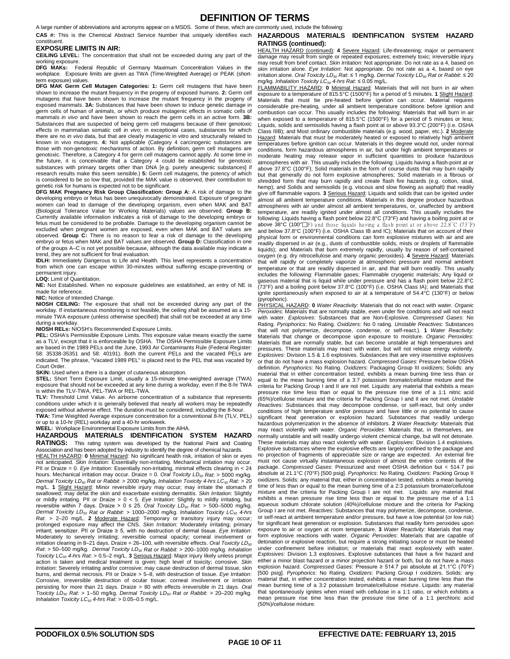## **DEFINITION OF TERMS**

A large number of abbreviations and acronyms appear on a MSDS. Some of these, which are commonly used, include the following:

#### constituent. **EXPOSURE LIMITS IN AIR:**

**CEILING LEVEL:** The concentration that shall not be exceeded during any part of the working exposure.

**DFG MAKs:** Federal Republic of Germany Maximum Concentration Values in the workplace. Exposure limits are given as TWA (Time-Weighted Average) or PEAK (shortterm exposure) values.

**DFG MAK Germ Cell Mutagen Categories: 1:** Germ cell mutagens that have been shown to increase the mutant frequency in the progeny of exposed humans. **2:** Germ cell mutagens that have been shown to increase the mutant frequency in the progeny of exposed mammals. **3A:** Substances that have been shown to induce genetic damage in germ cells of human of animals, or which produce mutagenic effects in somatic cells of mammals *in vivo* and have been shown to reach the germ cells in an active form. **3B:** Substances that are suspected of being germ cell mutagens because of their genotoxic effects in mammalian somatic cell *in vivo*; in exceptional cases, substances for which there are no *in vivo* data, but that are clearly mutagenic in vitro and structurally related to known in vivo mutagens. **4:** Not applicable (Category 4 carcinogenic substances are those with non-genotoxic mechanisms of action. By definition, germ cell mutagens are genotoxic. Therefore, a Category 4 for germ cell mutagens cannot apply. At some time in<br>the future, it is conceivable that a Category 4 could be established for genotoxic<br>substances with primary targets other than DNA [e.g research results make this seem sensible.) **5:** Germ cell mutagens, the potency of which is considered to be so low that, provided the MAK value is observed, their contribution to genetic risk for humans is expected not to be significant.

**DFG MAK Pregnancy Risk Group Classification: Group A:** A risk of damage to the developing embryo or fetus has been unequivocally demonstrated. Exposure of pregnant women can lead to damage of the developing organism, even when MAK and BAT (Biological Tolerance Value for Working Materials) values are observed. **Group B:** Currently available information indicates a risk of damage to the developing embryo or fetus must be considered to be probable. Damage to the developing organism cannot be excluded when pregnant women are exposed, even when MAK and BAT values are observed. **Group C:** There is no reason to fear a risk of damage to the developing embryo or fetus when MAK and BAT values are observed. Group D: Classification in one of the groups A–C is not yet possible because, although the data available may indicate a trend, they are not sufficient for final evaluation.

**IDLH:** Immediately Dangerous to Life and Health. This level represents a concentration from which one can escape within 30-minutes without suffering escape-preventing or

permanent injury. **LOQ:** Limit of Quantitation.

**NE:** Not Established. When no exposure guidelines are established, an entry of NE is made for reference.

**NIC:** Notice of Intended Change.

**NIOSH CEILING:** The exposure that shall not be exceeded during any part of the workday. If instantaneous monitoring is not feasible, the ceiling shall be assumed as a 15 minute TWA exposure (unless otherwise specified) that shall not be exceeded at any time during a workday.

**NIOSH RELs:** NIOSH's Recommended Exposure Limits.

**PEL:** OSHA's Permissible Exposure Limits. This exposure value means exactly the same as a TLV, except that it is enforceable by OSHA. The OSHA Permissible Exposure Limits are based in the 1989 PELs and the June, 1993 Air Contaminants Rule (Federal Register: 58: 35338-35351 and 58: 40191). Both the current PELs and the vacated PELs are indicated. The phrase, "Vacated 1989 PEL" is placed next to the PEL that was vacated by Court Order.

**SKIN:** Used when a there is a danger of cutaneous absorption.

**STEL:** Short Term Exposure Limit, usually a 15-minute time-weighted average (TWA) exposure that should not be exceeded at any time during a workday, even if the 8-hr TWA is within the TLV-TWA, PEL-TWA or REL-TWA.

**TLV:** Threshold Limit Value. An airborne concentration of a substance that represents conditions under which it is generally believed that nearly all workers may be repeatedly exposed without adverse effect. The duration must be considered, including the 8-hour.

**TWA:** Time Weighted Average exposure concentration for a conventional 8-hr (TLV, PEL) or up to a 10-hr (REL) workday and a 40-hr workweek. **WEEL:** Workplace Environmental Exposure Limits from the AIHA.

### **HAZARDOUS MATERIALS IDENTIFICATION SYSTEM HAZARD RATINGS:** This rating system was developed by the National Paint and Coating

Association and has been adopted by industry to identify the degree of chemical hazards.

HEALTH HAZARD: **0** Minimal Hazard: No significant health risk, irritation of skin or eyes not anticipated. *Skin Irritation*: Essentially non-irritating. Mechanical irritation may occur. PII or Draize = 0. *Eye Irritation*: Essentially non-irritating, minimal effects clearing in < 24<br>hours. Mechanical irritation may occur. Draize = 0. *Oral Toxicity LD<sub>so</sub> Rat*: > 5000 mg/kg. *Dermal Toxicity LD50 Rat or Rabbit*: > 2000 mg/kg. *Inhalation Toxicity 4-hrs LC50 Rat*: > 20 mg/L. **1** Slight Hazard: Minor reversible injury may occur; may irritate the stomach if swallowed; may defat the skin and exacerbate existing dermatitis. *Skin Irritation*: Slightly or mildly irritating. PII or Draize > 0 < 5. Eye Irritation: Slightly to mildly irritating, but<br>reversible within 7 days. Draize > 0 ≤ 25. Oral Toxicity LD<sub>so</sub> Rat: > 500–5000 mg/kg.<br>Dermal Toxicity LD<sub>so</sub> Rat or Rabbit: > prolonged exposure may affect the CNS. *Skin Irritation*: Moderately irritating; primary irritant; sensitizer. PII or Draize ≥ 5, with no destruction of dermal tissue. *Eye Irritation*: Moderately to severely irritating; reversible corneal opacity; corneal involvement or irritation clearing in 8-21 days. Draize = 26-100, with reversible effects. Oral Toxicity LD<sub>50</sub> *Rat*: > 50–500 mg/kg. *Dermal Toxicity LD<sub>so</sub> Rat or Rabbit*: > 200–1000 mg/kg. *Inhalation*<br>*Toxicity LC<sub>so</sub> 4-hrs Rat: >* 0.5–2 mg/L. **3** <u>Serious Hazard</u>: Major injury likely unless prompt action is taken and medical treatment is given; high level of toxicity; corrosive. *Skin Irritation*: Severely irritating and/or corrosive; may cause destruction of dermal tissue, skin burns, and dermal necrosis. PII or Draize > 5–8, with destruction of tissue. *Eye Irritation*: Corrosive, irreversible destruction of ocular tissue; corneal involvement or irritation persisting for more than 21 days. Draize > 80 with effects irreversible in 21 days. *Oral Toxicity LD50 Rat*: > 1–50 mg/kg. *Dermal Toxicity LD50 Rat or Rabbit*: > 20–200 mg/kg. *Inhalation Toxicity LC50 4-hrs Rat*: > 0.05–0.5 mg/L.

### CAS #: This is the Chemical Abstract Service Number that uniquely identifies each **HAZARDOUS MATERIALS IDENTIFICATION SYSTEM HAZARD RATINGS (continued):**

HEALTH HAZARD (continued): **4** Severe Hazard: Life-threatening; major or permanent damage may result from single or repeated exposures; extremely toxic; irreversible injury may result from brief contact. *Skin Irritation*: Not appropriate. Do not rate as a 4, based on skin irritation alone. *Eye Irritation*: Not appropriate. Do not rate as a 4, based on eye irritation alone. *Oral Toxicity LD50 Rat*: ≤ 1 mg/kg. *Dermal Toxicity LD50 Rat or Rabbit*: ≤ 20 mg/kg. *Inhalation Toxicity LC50 4-hrs Rat*: ≤ 0.05 mg/L.

FLAMMABILITY HAZARD: **0** Minimal Hazard: Materials that will not burn in air when exposure to a temperature of 815.5°C (1500°F) for a period of 5 minutes. **1** Slight Hazard: Materials that must be pre-heated before ignition can occur. Material requires considerable pre-heating, under all ambient temperature conditions before ignition and combustion can occur. This usually includes the following: Materials that will burn in air when exposed to a temperature of 815.5°C (1500°F) for a period of 5 minutes or less; Liquids, solids and semisolids having a flash point at or above 93.3°C (200°F) (i.e. OSHA Class IIIB); and Most ordinary combustible materials (e.g. wood, paper, etc.). **2** Moderate Hazard: Materials that must be moderately heated or exposed to relatively high ambient temperatures before ignition can occur. Materials in this degree would not, under normal conditions, form hazardous atmospheres in air, but under high ambient temperatures or moderate heating may release vapor in sufficient quantities to produce hazardous atmospheres with air. This usually includes the following: Liquids having a flash-point at or above 37.8°C (100°F); Solid materials in the form of course dusts that may burn rapidly but that generally do not form explosive atmospheres; Solid materials in a fibrous or shredded form that may burn rapidly and create flash fire hazards (e.g. cotton, sisal, hemp); and Solids and semisolids (e.g. viscous and slow flowing as asphalt) that readily give off flammable vapors. **3** Serious Hazard: Liquids and solids that can be ignited under almost all ambient temperature conditions. Materials in this degree produce hazardous atmospheres with air under almost all ambient temperatures, or, unaffected by ambient temperature, are readily ignited under almost all conditions. This usually includes the following: Liquids having a flash point below 22.8°C (73°F) and having a boiling point at or above 38°C (100°∏F) and those liquids having a flash point at or above 22.8°C (73°F)<br>and below 37.8°C (100°F) (i.e. OSHA Class IB and IC); Materials that on account of their physical form or environmental conditions can form explosive mixtures with air and are readily dispersed in air (e.g., dusts of combustible solids, mists or droplets of flammable liquids); and Materials that burn extremely rapidly, usually by reason of self-contained oxygen (e.g. dry nitrocellulose and many organic peroxides). **4** Severe Hazard: Materials that will rapidly or completely vaporize at atmospheric pressure and normal ambient temperature or that are readily dispersed in air, and that will burn readily. This usually includes the following: Flammable gases; Flammable cryogenic materials; Any liquid or gaseous material that is liquid while under pressure and has a flash point below 22.8°C (73°F) and a boiling point below 37.8°C (100°F) (i.e. OSHA Class IA); and Materials that ignite spontaneously when exposed to air at a temperature of 54.4°C (130°F) or below (pyrophoric).

PHYSICAL HAZARD: **0** *Water Reactivity*: Materials that do not react with water. *Organic Peroxides*: Materials that are normally stable, even under fire conditions and will not react with water. *Explosives*: Substances that are Non-Explosive. *Compressed Gases*: No Rating. *Pyrophorics*: No Rating. *Oxidizers*: No 0 rating. *Unstable Reactives*: Substances that will not polymerize, decompose, condense, or self-react.). **1** *Water Reactivity*: Materials that change or decompose upon exposure to moisture. *Organic Peroxides*: Materials that are normally stable, but can become unstable at high temperatures and pressures. These materials may react with water, but will not release energy violently. *Explosives*: Division 1.5 & 1.6 explosives. Substances that are very insensitive explosives or that do not have a mass explosion hazard. *Compressed Gases*: Pressure below OSHA definition. *Pyrophorics*: No Rating. *Oxidizers*: Packaging Group III oxidizers; Solids: any material that in either concentration tested, exhibits a mean burning time less than or equal to the mean burning time of a 3:7 potassium bromate/cellulose mixture and the criteria for Packing Group I and II are not met. Liquids: any material that exhibits a mean pressure rise time less than or equal to the pressure rise time of a 1:1 nitric acid (65%)/cellulose mixture and the criteria for Packing Group I and II are not met. *Unstable Reactives*: Substances that may decompose condense, or self-react, but only under conditions of high temperature and/or pressure and have little or no potential to cause significant heat generation or explosion hazard. Substances that readily undergo hazardous polymerization in the absence of inhibitors. **2** *Water Reactivity*: Materials that may react violently with water. *Organic Peroxides*: Materials that, in themselves, are normally unstable and will readily undergo violent chemical change, but will not detonate. These materials may also react violently with water. *Explosives*: Division 1.4 explosives. Explosive substances where the explosive effects are largely confined to the package and no projection of fragments of appreciable size or range are expected. An external fire must not cause virtually instantaneous explosion of almost the entire contents of the package. *Compressed Gases*: Pressurized and meet OSHA definition but < 514.7 psi absolute at 21.1°C (70°F) [500 psig]. *Pyrophorics*: No Rating. *Oxidizers*: Packing Group II oxidizers. Solids: any material that, either in concentration tested, exhibits a mean burning time of less than or equal to the mean burning time of a 2:3 potassium bromate/cellulose mixture and the criteria for Packing Group I are not met. Liquids: any material that exhibits a mean pressure rise time less than or equal to the pressure rise of a 1:1 aqueous sodium chlorate solution (40%)/cellulose mixture and the criteria for Packing Group I are not met. *Reactives*: Substances that may polymerize, decompose, condense, or self-react at ambient temperature and/or pressure, but have a low potential (or low risk) for significant heat generation or explosion. Substances that readily form peroxides upon exposure to air or oxygen at room temperature. **3** *Water Reactivity*: Materials that may form explosive reactions with water. *Organic Peroxides*: Materials that are capable of detonation or explosive reaction, but require a strong initiating source or must be heated under confinement before initiation; or materials that react explosively with water. *Explosives*: Division 1.3 explosives. Explosive substances that have a fire hazard and either a minor blast hazard or a minor projection hazard or both, but do not have a mass explosion hazard. *Compressed Gases*: Pressure ≥ 514.7 psi absolute at 21.1°C (70°F) [500 psig]. *Pyrophorics*: No Rating. *Oxidizers*: Packing Group I oxidizers. Solids: any material that, in either concentration tested, exhibits a mean burning time less than the mean burning time of a 3:2 potassium bromate/cellulose mixture. Liquids: any material that spontaneously ignites when mixed with cellulose in a 1:1 ratio, or which exhibits a mean pressure rise time less than the pressure rise time of a 1:1 perchloric acid (50%)/cellulose mixture.